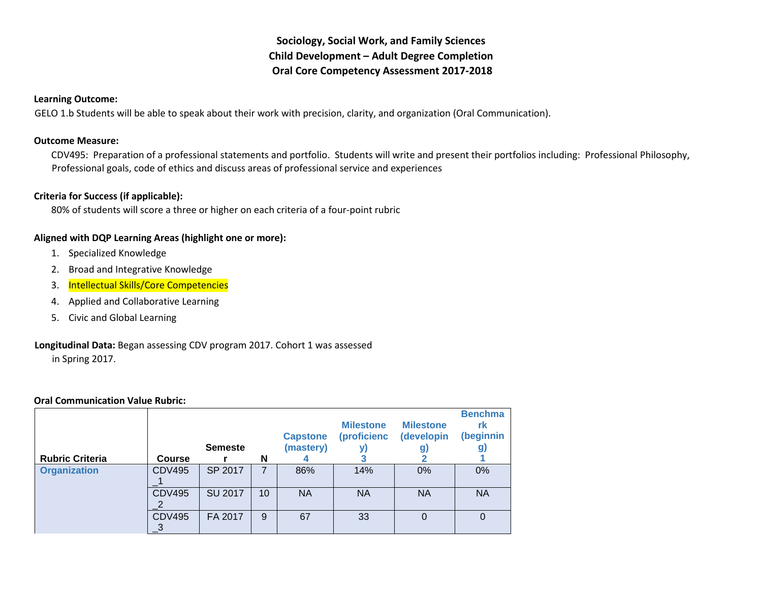# **Sociology, Social Work, and Family Sciences Child Development – Adult Degree Completion Oral Core Competency Assessment 2017-2018**

#### **Learning Outcome:**

GELO 1.b Students will be able to speak about their work with precision, clarity, and organization (Oral Communication).

#### **Outcome Measure:**

CDV495: Preparation of a professional statements and portfolio. Students will write and present their portfolios including: Professional Philosophy, Professional goals, code of ethics and discuss areas of professional service and experiences

#### **Criteria for Success (if applicable):**

80% of students will score a three or higher on each criteria of a four-point rubric

#### **Aligned with DQP Learning Areas (highlight one or more):**

- 1. Specialized Knowledge
- 2. Broad and Integrative Knowledge
- 3. Intellectual Skills/Core Competencies
- 4. Applied and Collaborative Learning
- 5. Civic and Global Learning

## **Longitudinal Data:** Began assessing CDV program 2017. Cohort 1 was assessed

in Spring 2017.

#### **Oral Communication Value Rubric:**

| <b>Rubric Criteria</b> | <b>Course</b> | <b>Semeste</b> | N  | <b>Capstone</b><br>(mastery) | <b>Milestone</b><br><i>(proficienc)</i> | <b>Milestone</b><br>(developin<br>g, | <b>Benchma</b><br>rk<br>(beginnin<br>g) |
|------------------------|---------------|----------------|----|------------------------------|-----------------------------------------|--------------------------------------|-----------------------------------------|
| <b>Organization</b>    | <b>CDV495</b> | SP 2017        | 7  | 86%                          | 14%                                     | 0%                                   | $0\%$                                   |
|                        | <b>CDV495</b> | <b>SU 2017</b> | 10 | <b>NA</b>                    | <b>NA</b>                               | <b>NA</b>                            | <b>NA</b>                               |
|                        | <b>CDV495</b> | FA 2017        | 9  | 67                           | 33                                      | 0                                    | 0                                       |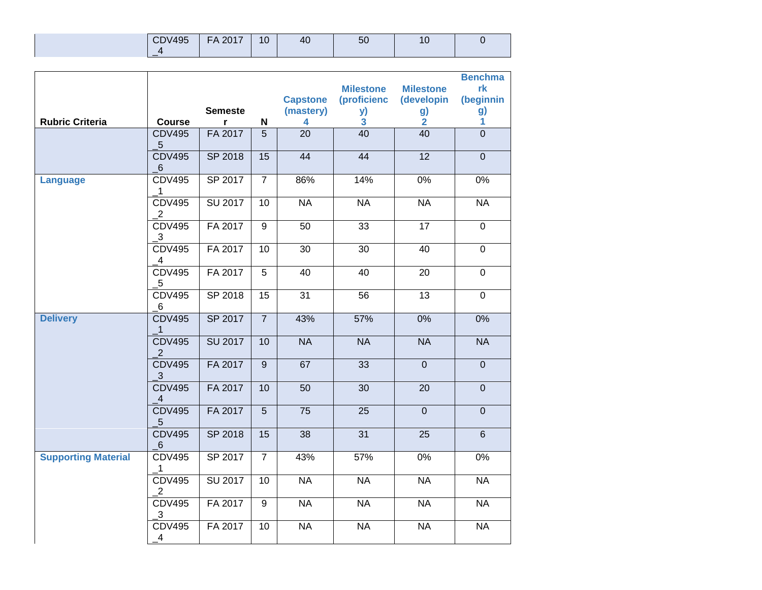| <b>CDV495</b> | 2017<br>FΔ | 10 | $\Delta$<br>$-10$ | ວບ |  |
|---------------|------------|----|-------------------|----|--|
|               |            |    |                   |    |  |

|                            |                                             |                |                 |                 |                         |                  | <b>Benchma</b> |
|----------------------------|---------------------------------------------|----------------|-----------------|-----------------|-------------------------|------------------|----------------|
|                            |                                             |                |                 |                 | <b>Milestone</b>        | <b>Milestone</b> | rk             |
|                            |                                             |                |                 | <b>Capstone</b> | (proficienc             | (developin       | (beginnin      |
|                            |                                             | <b>Semeste</b> |                 | (mastery)       | y)                      | g)               | g)             |
| <b>Rubric Criteria</b>     | <b>Course</b>                               | r              | N               | 4               | $\overline{\mathbf{3}}$ | $\overline{2}$   | $\mathbf{1}$   |
|                            | <b>CDV495</b><br>$\overline{5}$             | FA 2017        | $\overline{5}$  | 20              | 40                      | 40               | $\overline{0}$ |
|                            | <b>CDV495</b><br>6                          | SP 2018        | $\overline{15}$ | 44              | 44                      | 12               | $\overline{0}$ |
| <b>Language</b>            | <b>CDV495</b><br>$\mathbf 1$                | SP 2017        | $\overline{7}$  | 86%             | 14%                     | $0\%$            | $0\%$          |
|                            | <b>CDV495</b><br>$\overline{\mathbf{c}}$    | SU 2017        | 10              | <b>NA</b>       | <b>NA</b>               | <b>NA</b>        | <b>NA</b>      |
|                            | <b>CDV495</b><br>$\overline{\mathbf{3}}$    | FA 2017        | $\overline{9}$  | 50              | 33                      | $\overline{17}$  | $\pmb{0}$      |
|                            | <b>CDV495</b><br>$\overline{A}$             | FA 2017        | $\overline{10}$ | $\overline{30}$ | $\overline{30}$         | $\overline{40}$  | $\overline{0}$ |
|                            | <b>CDV495</b><br>5                          | FA 2017        | $\overline{5}$  | 40              | $\overline{40}$         | $\overline{20}$  | $\overline{0}$ |
|                            | <b>CDV495</b><br>6                          | SP 2018        | 15              | $\overline{31}$ | $\overline{56}$         | 13               | $\overline{0}$ |
| <b>Delivery</b>            | <b>CDV495</b><br>$\mathbf{1}$               | SP 2017        | $\overline{7}$  | 43%             | 57%                     | 0%               | 0%             |
|                            | <b>CDV495</b><br>2                          | <b>SU 2017</b> | 10              | <b>NA</b>       | <b>NA</b>               | <b>NA</b>        | <b>NA</b>      |
|                            | <b>CDV495</b><br>$\mathbf{3}$               | FA 2017        | $\overline{9}$  | 67              | 33                      | $\overline{0}$   | $\overline{0}$ |
|                            | <b>CDV495</b><br>$\overline{A}$             | FA 2017        | 10              | 50              | 30                      | 20               | $\pmb{0}$      |
|                            | <b>CDV495</b><br>5 <sup>5</sup>             | FA 2017        | 5               | 75              | 25                      | $\mathbf 0$      | $\mathbf 0$    |
|                            | <b>CDV495</b><br>$6 \overline{6}$           | SP 2018        | 15              | 38              | 31                      | 25               | $6\phantom{1}$ |
| <b>Supporting Material</b> | <b>CDV495</b><br>$\overline{\phantom{a}}$ 1 | SP 2017        | $\overline{7}$  | 43%             | 57%                     | 0%               | 0%             |
|                            | <b>CDV495</b><br>2                          | SU 2017        | $\overline{10}$ | <b>NA</b>       | <b>NA</b>               | <b>NA</b>        | <b>NA</b>      |
|                            | <b>CDV495</b><br>$\mathbf{3}$               | FA 2017        | 9               | <b>NA</b>       | <b>NA</b>               | <b>NA</b>        | <b>NA</b>      |
|                            | <b>CDV495</b><br>$\overline{A}$             | FA 2017        | 10              | <b>NA</b>       | <b>NA</b>               | <b>NA</b>        | <b>NA</b>      |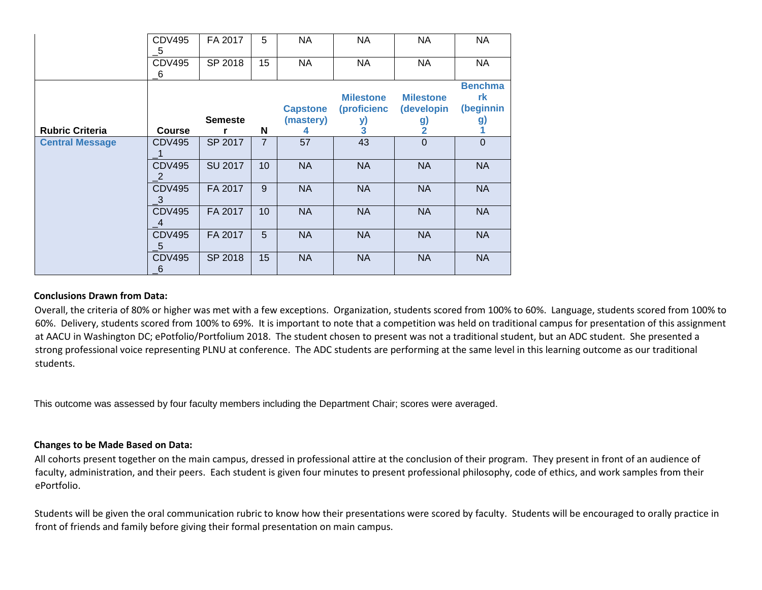|                        | <b>CDV495</b><br>$-5$             | FA 2017        | 5              | <b>NA</b>       | <b>NA</b>        | <b>NA</b>        | <b>NA</b>      |
|------------------------|-----------------------------------|----------------|----------------|-----------------|------------------|------------------|----------------|
|                        | <b>CDV495</b><br>6                | SP 2018        | 15             | <b>NA</b>       | <b>NA</b>        | NA               | <b>NA</b>      |
|                        |                                   |                |                |                 |                  |                  | <b>Benchma</b> |
|                        |                                   |                |                |                 | <b>Milestone</b> | <b>Milestone</b> | rk             |
|                        |                                   |                |                | <b>Capstone</b> | (proficienc      | (developin       | (beginnin      |
|                        |                                   | <b>Semeste</b> |                | (mastery)       | y)               | g)               | g)             |
| <b>Rubric Criteria</b> | <b>Course</b>                     |                | N              | 4               | 3                | 2                |                |
| <b>Central Message</b> | <b>CDV495</b>                     | SP 2017        | $\overline{7}$ | 57              | 43               | $\Omega$         | $\mathbf 0$    |
|                        | <b>CDV495</b><br>2                | <b>SU 2017</b> | 10             | <b>NA</b>       | <b>NA</b>        | <b>NA</b>        | <b>NA</b>      |
|                        | <b>CDV495</b><br>$_{\mathbf{-3}}$ | FA 2017        | 9              | <b>NA</b>       | <b>NA</b>        | <b>NA</b>        | <b>NA</b>      |
|                        | <b>CDV495</b><br>4                | FA 2017        | 10             | <b>NA</b>       | <b>NA</b>        | <b>NA</b>        | <b>NA</b>      |
|                        | <b>CDV495</b><br>5                | FA 2017        | 5              | <b>NA</b>       | <b>NA</b>        | <b>NA</b>        | <b>NA</b>      |
|                        | <b>CDV495</b><br>$-6$             | SP 2018        | 15             | <b>NA</b>       | <b>NA</b>        | <b>NA</b>        | <b>NA</b>      |

#### **Conclusions Drawn from Data:**

Overall, the criteria of 80% or higher was met with a few exceptions. Organization, students scored from 100% to 60%. Language, students scored from 100% to 60%. Delivery, students scored from 100% to 69%. It is important to note that a competition was held on traditional campus for presentation of this assignment at AACU in Washington DC; ePotfolio/Portfolium 2018. The student chosen to present was not a traditional student, but an ADC student. She presented a strong professional voice representing PLNU at conference. The ADC students are performing at the same level in this learning outcome as our traditional students.

This outcome was assessed by four faculty members including the Department Chair; scores were averaged.

#### **Changes to be Made Based on Data:**

All cohorts present together on the main campus, dressed in professional attire at the conclusion of their program. They present in front of an audience of faculty, administration, and their peers. Each student is given four minutes to present professional philosophy, code of ethics, and work samples from their ePortfolio.

Students will be given the oral communication rubric to know how their presentations were scored by faculty. Students will be encouraged to orally practice in front of friends and family before giving their formal presentation on main campus.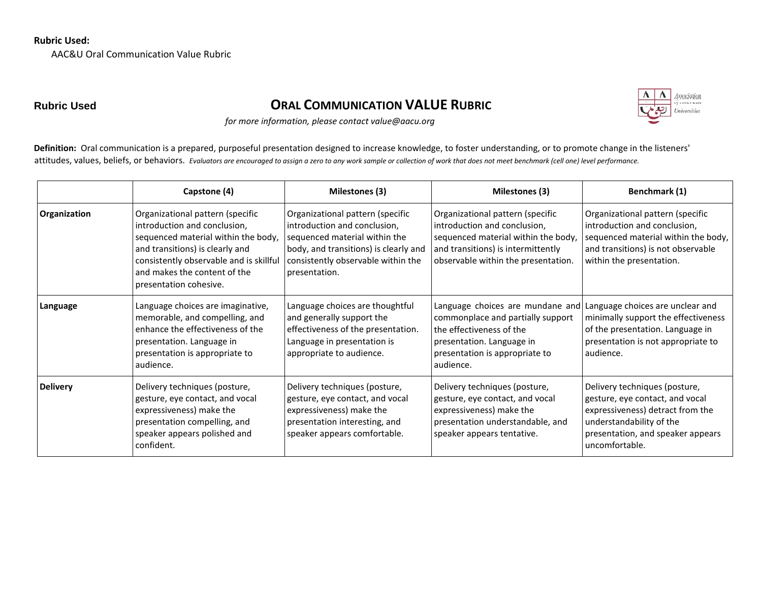### **Rubric Used:**

AAC&U Oral Communication Value Rubric

# **Rubric Used ORAL COMMUNICATION VALUE RUBRIC**



*for more information, please contact value@aacu.org*

Definition: Oral communication is a prepared, purposeful presentation designed to increase knowledge, to foster understanding, or to promote change in the listeners' attitudes, values, beliefs, or behaviors. *Evaluators are encouraged to assign a zero to any work sample or collection of work that does not meet benchmark (cell one) level performance.*

|                 | Capstone (4)                                                                                                                                                                                                                                    | Milestones (3)                                                                                                                                                                                    | Milestones (3)                                                                                                                                                                       | Benchmark (1)                                                                                                                                                                           |
|-----------------|-------------------------------------------------------------------------------------------------------------------------------------------------------------------------------------------------------------------------------------------------|---------------------------------------------------------------------------------------------------------------------------------------------------------------------------------------------------|--------------------------------------------------------------------------------------------------------------------------------------------------------------------------------------|-----------------------------------------------------------------------------------------------------------------------------------------------------------------------------------------|
| Organization    | Organizational pattern (specific<br>introduction and conclusion,<br>sequenced material within the body,<br>and transitions) is clearly and<br>consistently observable and is skillful<br>and makes the content of the<br>presentation cohesive. | Organizational pattern (specific<br>introduction and conclusion,<br>sequenced material within the<br>body, and transitions) is clearly and<br>consistently observable within the<br>presentation. | Organizational pattern (specific<br>introduction and conclusion,<br>sequenced material within the body,<br>and transitions) is intermittently<br>observable within the presentation. | Organizational pattern (specific<br>introduction and conclusion,<br>sequenced material within the body,<br>and transitions) is not observable<br>within the presentation.               |
| Language        | Language choices are imaginative,<br>memorable, and compelling, and<br>enhance the effectiveness of the<br>presentation. Language in<br>presentation is appropriate to<br>audience.                                                             | Language choices are thoughtful<br>and generally support the<br>effectiveness of the presentation.<br>Language in presentation is<br>appropriate to audience.                                     | Language choices are mundane and<br>commonplace and partially support<br>the effectiveness of the<br>presentation. Language in<br>presentation is appropriate to<br>audience.        | Language choices are unclear and<br>minimally support the effectiveness<br>of the presentation. Language in<br>presentation is not appropriate to<br>audience.                          |
| <b>Delivery</b> | Delivery techniques (posture,<br>gesture, eye contact, and vocal<br>expressiveness) make the<br>presentation compelling, and<br>speaker appears polished and<br>confident.                                                                      | Delivery techniques (posture,<br>gesture, eye contact, and vocal<br>expressiveness) make the<br>presentation interesting, and<br>speaker appears comfortable.                                     | Delivery techniques (posture,<br>gesture, eye contact, and vocal<br>expressiveness) make the<br>presentation understandable, and<br>speaker appears tentative.                       | Delivery techniques (posture,<br>gesture, eye contact, and vocal<br>expressiveness) detract from the<br>understandability of the<br>presentation, and speaker appears<br>uncomfortable. |